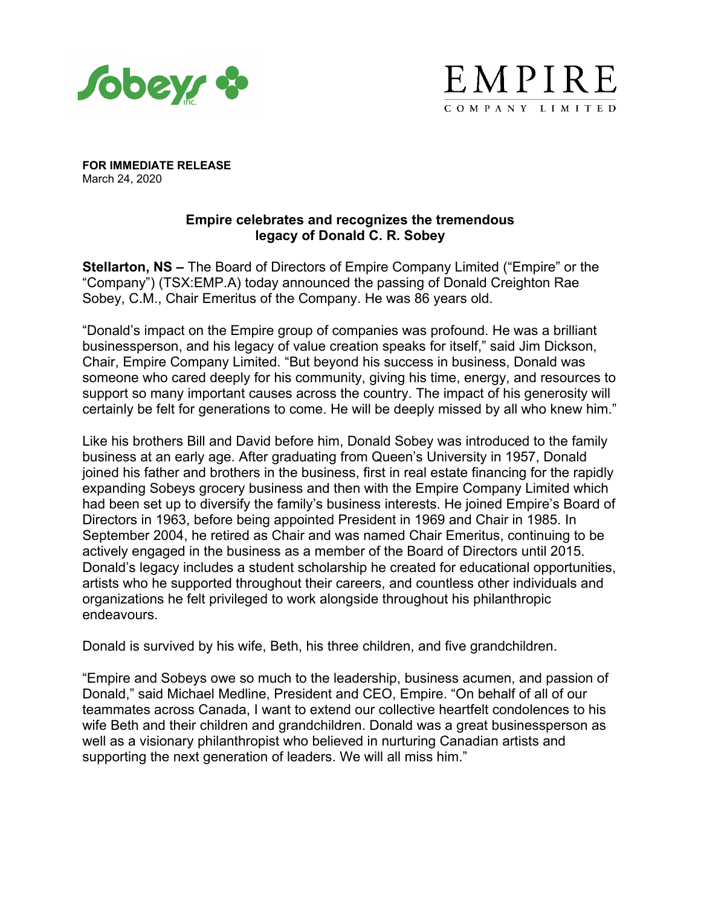



**FOR IMMEDIATE RELEASE** March 24, 2020

# **Empire celebrates and recognizes the tremendous legacy of Donald C. R. Sobey**

**Stellarton, NS –** The Board of Directors of Empire Company Limited ("Empire" or the "Company") (TSX:EMP.A) today announced the passing of Donald Creighton Rae Sobey, C.M., Chair Emeritus of the Company. He was 86 years old.

"Donald's impact on the Empire group of companies was profound. He was a brilliant businessperson, and his legacy of value creation speaks for itself," said Jim Dickson, Chair, Empire Company Limited. "But beyond his success in business, Donald was someone who cared deeply for his community, giving his time, energy, and resources to support so many important causes across the country. The impact of his generosity will certainly be felt for generations to come. He will be deeply missed by all who knew him."

Like his brothers Bill and David before him, Donald Sobey was introduced to the family business at an early age. After graduating from Queen's University in 1957, Donald joined his father and brothers in the business, first in real estate financing for the rapidly expanding Sobeys grocery business and then with the Empire Company Limited which had been set up to diversify the family's business interests. He joined Empire's Board of Directors in 1963, before being appointed President in 1969 and Chair in 1985. In September 2004, he retired as Chair and was named Chair Emeritus, continuing to be actively engaged in the business as a member of the Board of Directors until 2015. Donald's legacy includes a student scholarship he created for educational opportunities, artists who he supported throughout their careers, and countless other individuals and organizations he felt privileged to work alongside throughout his philanthropic endeavours.

Donald is survived by his wife, Beth, his three children, and five grandchildren.

"Empire and Sobeys owe so much to the leadership, business acumen, and passion of Donald," said Michael Medline, President and CEO, Empire. "On behalf of all of our teammates across Canada, I want to extend our collective heartfelt condolences to his wife Beth and their children and grandchildren. Donald was a great businessperson as well as a visionary philanthropist who believed in nurturing Canadian artists and supporting the next generation of leaders. We will all miss him."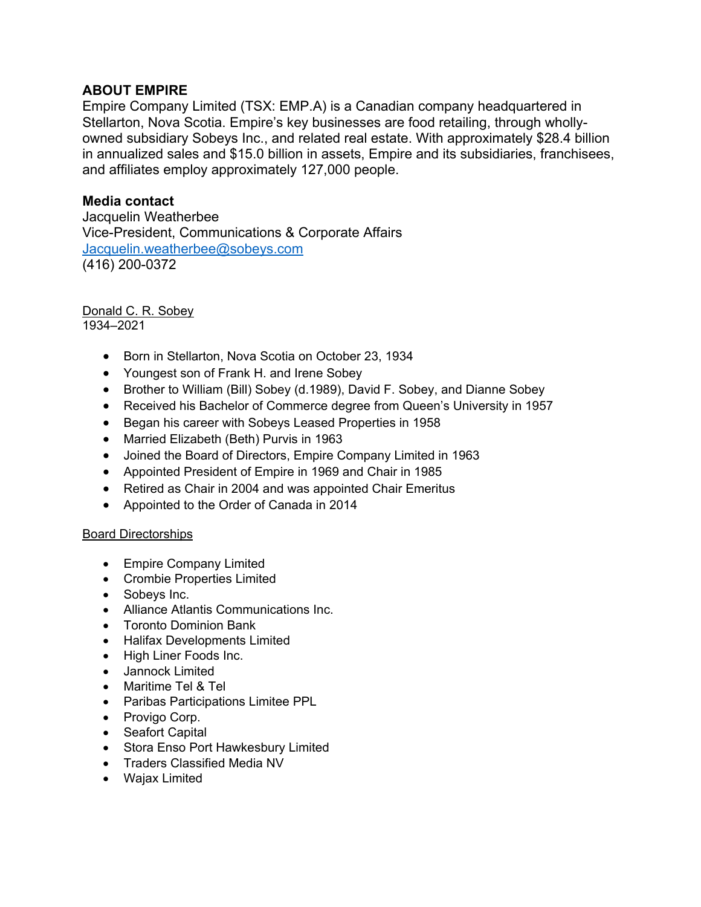# **ABOUT EMPIRE**

Empire Company Limited (TSX: EMP.A) is a Canadian company headquartered in Stellarton, Nova Scotia. Empire's key businesses are food retailing, through whollyowned subsidiary Sobeys Inc., and related real estate. With approximately \$28.4 billion in annualized sales and \$15.0 billion in assets, Empire and its subsidiaries, franchisees, and affiliates employ approximately 127,000 people.

# **Media contact**

Jacquelin Weatherbee Vice-President, Communications & Corporate Affairs [Jacquelin.weatherbee@sobeys.com](mailto:Jacquelin.weatherbee@sobeys.com) (416) 200-0372

# Donald C. R. Sobey

1934–2021

- Born in Stellarton, Nova Scotia on October 23, 1934
- Youngest son of Frank H. and Irene Sobey
- Brother to William (Bill) Sobey (d.1989), David F. Sobey, and Dianne Sobey
- Received his Bachelor of Commerce degree from Queen's University in 1957
- Began his career with Sobeys Leased Properties in 1958
- Married Elizabeth (Beth) Purvis in 1963
- Joined the Board of Directors, Empire Company Limited in 1963
- Appointed President of Empire in 1969 and Chair in 1985
- Retired as Chair in 2004 and was appointed Chair Emeritus
- Appointed to the Order of Canada in 2014

# Board Directorships

- Empire Company Limited
- Crombie Properties Limited
- Sobeys Inc.
- Alliance Atlantis Communications Inc.
- Toronto Dominion Bank
- Halifax Developments Limited
- High Liner Foods Inc.
- Jannock Limited
- Maritime Tel & Tel
- Paribas Participations Limitee PPL
- Provigo Corp.
- Seafort Capital
- Stora Enso Port Hawkesbury Limited
- Traders Classified Media NV
- Wajax Limited